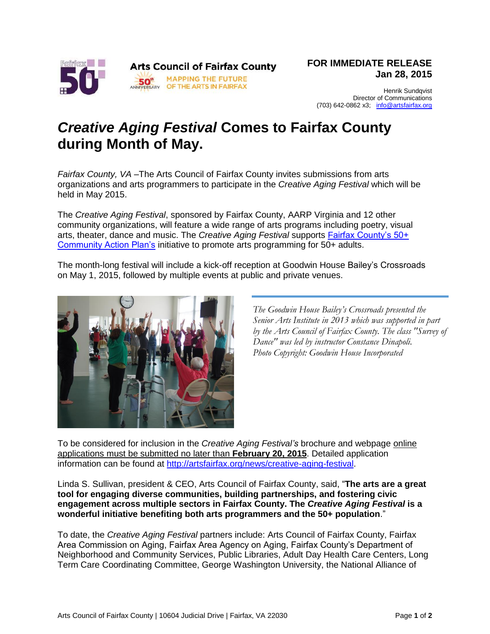

Henrik Sundqvist Director of Communications (703) 642-0862 x3; [info@artsfairfax.org](mailto:info@artsfairfax.org)

## *Creative Aging Festival* **Comes to Fairfax County during Month of May.**

*Fairfax County, VA –*The Arts Council of Fairfax County invites submissions from arts organizations and arts programmers to participate in the *Creative Aging Festival* which will be held in May 2015.

The *Creative Aging Festival*, sponsored by Fairfax County, AARP Virginia and 12 other community organizations, will feature a wide range of arts programs including poetry, visual arts, theater, dance and music. The *Creative Aging Festival* supports [Fairfax County's 50+](http://www.fairfaxcounty.gov/dfs/olderadultservices/fairfax50plus.htm)  [Community Action Plan's](http://www.fairfaxcounty.gov/dfs/olderadultservices/fairfax50plus.htm) initiative to promote arts programming for 50+ adults.

The month-long festival will include a kick-off reception at Goodwin House Bailey's Crossroads on May 1, 2015, followed by multiple events at public and private venues.



*The Goodwin House Bailey's Crossroads presented the Senior Arts Institute in 2013 which was supported in part by the Arts Council of Fairfax County. The class "Survey of Dance" was led by instructor Constance Dinapoli. Photo Copyright: Goodwin House Incorporated*

To be considered for inclusion in the *Creative Aging Festival's* brochure and webpage online applications must be submitted no later than **February 20, 2015**. Detailed application information can be found at [http://artsfairfax.org/news/creative-aging-festival.](http://artsfairfax.org/news/creative-aging-festival)

Linda S. Sullivan, president & CEO, Arts Council of Fairfax County, said, "**The arts are a great tool for engaging diverse communities, building partnerships, and fostering civic engagement across multiple sectors in Fairfax County. The** *Creative Aging Festival* **is a wonderful initiative benefiting both arts programmers and the 50+ population**."

To date, the *Creative Aging Festival* partners include: Arts Council of Fairfax County, Fairfax Area Commission on Aging, Fairfax Area Agency on Aging, Fairfax County's Department of Neighborhood and Community Services, Public Libraries, Adult Day Health Care Centers, Long Term Care Coordinating Committee, George Washington University, the National Alliance of